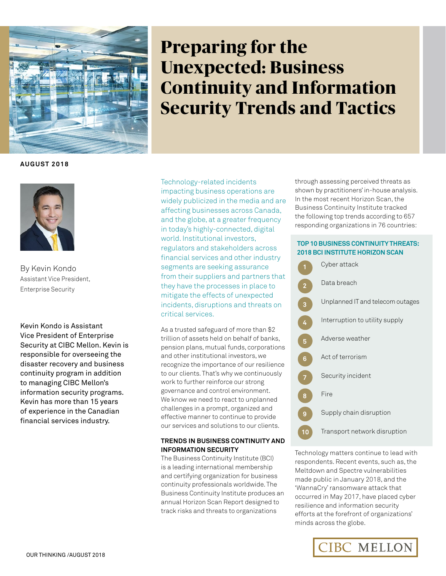

# **Preparing for the Unexpected: Business Continuity and Information Security Trends and Tactics**

**August 2018**



By Kevin Kondo Assistant Vice President, Enterprise Security

Kevin Kondo is Assistant Vice President of Enterprise Security at CIBC Mellon. Kevin is responsible for overseeing the disaster recovery and business continuity program in addition to managing CIBC Mellon's information security programs. Kevin has more than 15 years of experience in the Canadian financial services industry.

Technology-related incidents impacting business operations are widely publicized in the media and are affecting businesses across Canada, and the globe, at a greater frequency in today's highly-connected, digital world. Institutional investors, regulators and stakeholders across financial services and other industry segments are seeking assurance from their suppliers and partners that they have the processes in place to mitigate the effects of unexpected incidents, disruptions and threats on critical services.

As a trusted safeguard of more than \$2 trillion of assets held on behalf of banks, pension plans, mutual funds, corporations and other institutional investors, we recognize the importance of our resilience to our clients. That's why we continuously work to further reinforce our strong governance and control environment. We know we need to react to unplanned challenges in a prompt, organized and effective manner to continue to provide our services and solutions to our clients.

# **Trends in Business Continuity and Information Security**

The Business Continuity Institute (BCI) is a leading international membership and certifying organization for business continuity professionals worldwide. The Business Continuity Institute produces an annual Horizon Scan Report designed to track risks and threats to organizations

through assessing perceived threats as shown by practitioners' in-house analysis. In the most recent Horizon Scan, the Business Continuity Institute tracked the following top trends according to 657 responding organizations in 76 countries:

# **Top 10 Business Continuity Threats: 2018 BCI Institute Horizon Scan**



Technology matters continue to lead with respondents. Recent events, such as, the Meltdown and Spectre vulnerabilities made public in January 2018, and the 'WannaCry' ransomware attack that occurred in May 2017, have placed cyber resilience and information security efforts at the forefront of organizations' minds across the globe.

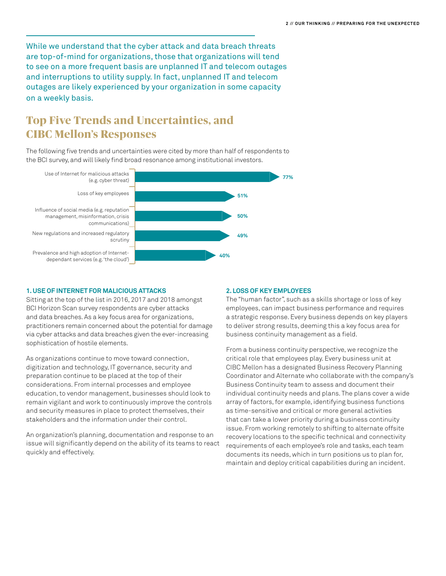While we understand that the cyber attack and data breach threats are top-of-mind for organizations, those that organizations will tend to see on a more frequent basis are unplanned IT and telecom outages and interruptions to utility supply. In fact, unplanned IT and telecom outages are likely experienced by your organization in some capacity on a weekly basis.

# **Top Five Trends and Uncertainties, and CIBC Mellon's Responses**

The following five trends and uncertainties were cited by more than half of respondents to the BCI survey, and will likely find broad resonance among institutional investors.



#### **1. Use of Internet for malicious attacks**

Sitting at the top of the list in 2016, 2017 and 2018 amongst BCI Horizon Scan survey respondents are cyber attacks and data breaches. As a key focus area for organizations, practitioners remain concerned about the potential for damage via cyber attacks and data breaches given the ever-increasing sophistication of hostile elements.

As organizations continue to move toward connection, digitization and technology, IT governance, security and preparation continue to be placed at the top of their considerations. From internal processes and employee education, to vendor management, businesses should look to remain vigilant and work to continuously improve the controls and security measures in place to protect themselves, their stakeholders and the information under their control.

An organization's planning, documentation and response to an issue will significantly depend on the ability of its teams to react quickly and effectively.

#### **2. Loss of key employees**

The "human factor", such as a skills shortage or loss of key employees, can impact business performance and requires a strategic response. Every business depends on key players to deliver strong results, deeming this a key focus area for business continuity management as a field.

From a business continuity perspective, we recognize the critical role that employees play. Every business unit at CIBC Mellon has a designated Business Recovery Planning Coordinator and Alternate who collaborate with the company's Business Continuity team to assess and document their individual continuity needs and plans. The plans cover a wide array of factors, for example, identifying business functions as time-sensitive and critical or more general activities that can take a lower priority during a business continuity issue. From working remotely to shifting to alternate offsite recovery locations to the specific technical and connectivity requirements of each employee's role and tasks, each team documents its needs, which in turn positions us to plan for, maintain and deploy critical capabilities during an incident.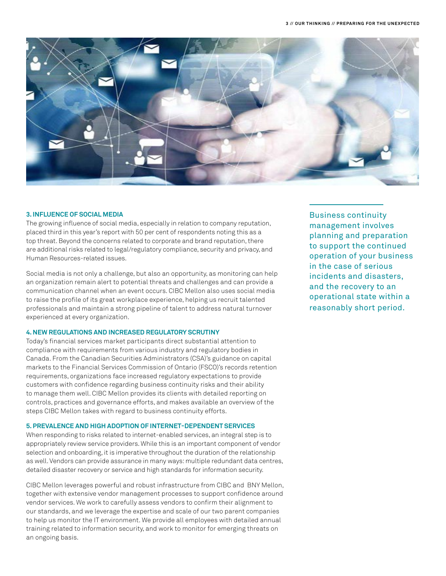

#### **3. Influence of social media**

The growing influence of social media, especially in relation to company reputation, placed third in this year's report with 50 per cent of respondents noting this as a top threat. Beyond the concerns related to corporate and brand reputation, there are additional risks related to legal/regulatory compliance, security and privacy, and Human Resources-related issues.

Social media is not only a challenge, but also an opportunity, as monitoring can help an organization remain alert to potential threats and challenges and can provide a communication channel when an event occurs. CIBC Mellon also uses social media to raise the profile of its great workplace experience, helping us recruit talented professionals and maintain a strong pipeline of talent to address natural turnover experienced at every organization.

#### **4. New regulations and increased regulatory scrutiny**

Today's financial services market participants direct substantial attention to compliance with requirements from various industry and regulatory bodies in Canada. From the Canadian Securities Administrators (CSA)'s guidance on capital markets to the Financial Services Commission of Ontario (FSCO)'s records retention requirements, organizations face increased regulatory expectations to provide customers with confidence regarding business continuity risks and their ability to manage them well. CIBC Mellon provides its clients with detailed reporting on controls, practices and governance efforts, and makes available an overview of the steps CIBC Mellon takes with regard to business continuity efforts.

#### **5. Prevalence and high adoption of Internet-dependent services**

When responding to risks related to internet-enabled services, an integral step is to appropriately review service providers. While this is an important component of vendor selection and onboarding, it is imperative throughout the duration of the relationship as well. Vendors can provide assurance in many ways: multiple redundant data centres, detailed disaster recovery or service and high standards for information security.

CIBC Mellon leverages powerful and robust infrastructure from CIBC and BNY Mellon, together with extensive vendor management processes to support confidence around vendor services. We work to carefully assess vendors to confirm their alignment to our standards, and we leverage the expertise and scale of our two parent companies to help us monitor the IT environment. We provide all employees with detailed annual training related to information security, and work to monitor for emerging threats on an ongoing basis.

Business continuity management involves planning and preparation to support the continued operation of your business in the case of serious incidents and disasters, and the recovery to an operational state within a reasonably short period.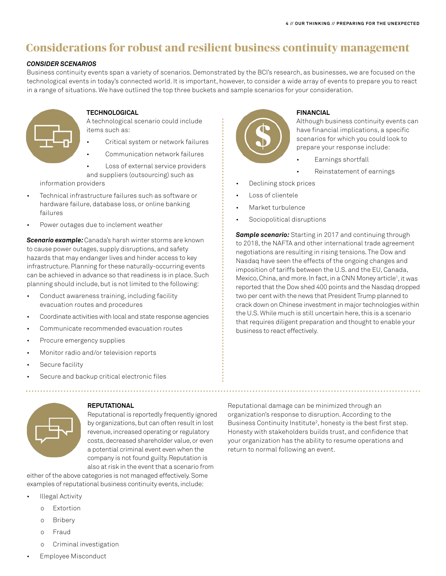# **Considerations for robust and resilient business continuity management**

# *Consider Scenarios*

Business continuity events span a variety of scenarios. Demonstrated by the BCI's research, as businesses, we are focused on the technological events in today's connected world. It is important, however, to consider a wide array of events to prepare you to react in a range of situations. We have outlined the top three buckets and sample scenarios for your consideration.



# **Technological**

A technological scenario could include items such as:

- Critical system or network failures
- Communication network failures

Loss of external service providers and suppliers (outsourcing) such as

information providers

- Technical infrastructure failures such as software or hardware failure, database loss, or online banking failures
- Power outages due to inclement weather

*Scenario example:* Canada's harsh winter storms are known to cause power outages, supply disruptions, and safety hazards that may endanger lives and hinder access to key infrastructure. Planning for these naturally-occurring events can be achieved in advance so that readiness is in place. Such planning should include, but is not limited to the following:

- Conduct awareness training, including facility evacuation routes and procedures
- Coordinate activities with local and state response agencies
- Communicate recommended evacuation routes
- Procure emergency supplies
- Monitor radio and/or television reports
- Secure facility
- Secure and backup critical electronic files



# **Financial**

Although business continuity events can have financial implications, a specific scenarios for which you could look to prepare your response include:

- Earnings shortfall
- Reinstatement of earnings
- Declining stock prices
- Loss of clientele
- Market turbulence
- Sociopolitical disruptions

*Sample scenario:* Starting in 2017 and continuing through to 2018, the NAFTA and other international trade agreement negotiations are resulting in rising tensions. The Dow and Nasdaq have seen the effects of the ongoing changes and imposition of tariffs between the U.S. and the EU, Canada, Mexico, China, and more. In fact, in a CNN Money article<sup>1</sup>, it was reported that the Dow shed 400 points and the Nasdaq dropped two per cent with the news that President Trump planned to crack down on Chinese investment in major technologies within the U.S. While much is still uncertain here, this is a scenario that requires diligent preparation and thought to enable your business to react effectively.



# **Reputational**

Reputational is reportedly frequently ignored by organizations, but can often result in lost revenue, increased operating or regulatory costs, decreased shareholder value, or even a potential criminal event even when the company is not found guilty. Reputation is also at risk in the event that a scenario from

either of the above categories is not managed effectively. Some examples of reputational business continuity events, include:

- **Illegal Activity** 
	- o Extortion
	- o Bribery
	- o Fraud
	- o Criminal investigation
- **Employee Misconduct**

Reputational damage can be minimized through an organization's response to disruption. According to the Business Continuity Institute<sup>2</sup>, honesty is the best first step. Honesty with stakeholders builds trust, and confidence that your organization has the ability to resume operations and return to normal following an event.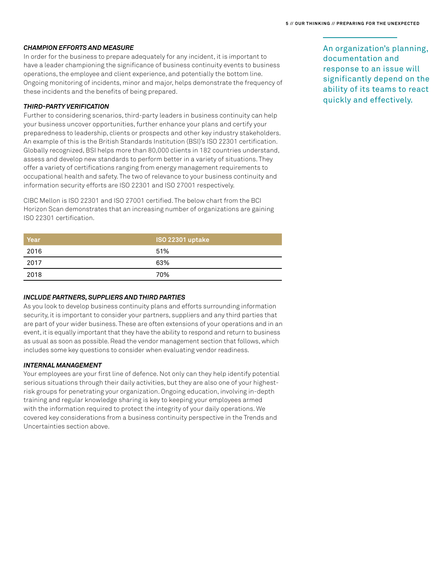#### *Champion Efforts and Measure*

In order for the business to prepare adequately for any incident, it is important to have a leader championing the significance of business continuity events to business operations, the employee and client experience, and potentially the bottom line. Ongoing monitoring of incidents, minor and major, helps demonstrate the frequency of these incidents and the benefits of being prepared.

## *Third-party Verification*

Further to considering scenarios, third-party leaders in business continuity can help your business uncover opportunities, further enhance your plans and certify your preparedness to leadership, clients or prospects and other key industry stakeholders. An example of this is the British Standards Institution (BSI)'s ISO 22301 certification. Globally recognized, BSI helps more than 80,000 clients in 182 countries understand, assess and develop new standards to perform better in a variety of situations. They offer a variety of certifications ranging from energy management requirements to occupational health and safety. The two of relevance to your business continuity and information security efforts are ISO 22301 and ISO 27001 respectively.

CIBC Mellon is ISO 22301 and ISO 27001 certified. The below chart from the BCI Horizon Scan demonstrates that an increasing number of organizations are gaining ISO 22301 certification.

| Year | <b>ISO 22301 uptake</b> |
|------|-------------------------|
| 2016 | 51%                     |
| 2017 | 63%                     |
| 2018 | 70%                     |

#### *Include partners, suppliers and third parties*

As you look to develop business continuity plans and efforts surrounding information security, it is important to consider your partners, suppliers and any third parties that are part of your wider business. These are often extensions of your operations and in an event, it is equally important that they have the ability to respond and return to business as usual as soon as possible. Read the vendor management section that follows, which includes some key questions to consider when evaluating vendor readiness.

#### *Internal Management*

Your employees are your first line of defence. Not only can they help identify potential serious situations through their daily activities, but they are also one of your highestrisk groups for penetrating your organization. Ongoing education, involving in-depth training and regular knowledge sharing is key to keeping your employees armed with the information required to protect the integrity of your daily operations. We covered key considerations from a business continuity perspective in the Trends and Uncertainties section above.

An organization's planning, documentation and response to an issue will significantly depend on the ability of its teams to react quickly and effectively.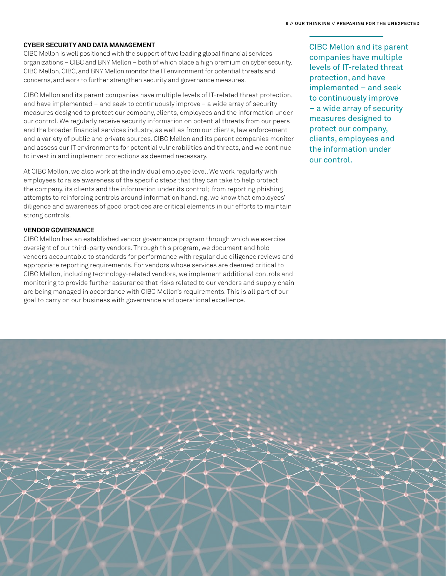## **Cyber Security and Data Management**

CIBC Mellon is well positioned with the support of two leading global financial services organizations – CIBC and BNY Mellon – both of which place a high premium on cyber security. CIBC Mellon, CIBC, and BNY Mellon monitor the IT environment for potential threats and concerns, and work to further strengthen security and governance measures.

CIBC Mellon and its parent companies have multiple levels of IT-related threat protection, and have implemented – and seek to continuously improve – a wide array of security measures designed to protect our company, clients, employees and the information under our control. We regularly receive security information on potential threats from our peers and the broader financial services industry, as well as from our clients, law enforcement and a variety of public and private sources. CIBC Mellon and its parent companies monitor and assess our IT environments for potential vulnerabilities and threats, and we continue to invest in and implement protections as deemed necessary.

At CIBC Mellon, we also work at the individual employee level. We work regularly with employees to raise awareness of the specific steps that they can take to help protect the company, its clients and the information under its control; from reporting phishing attempts to reinforcing controls around information handling, we know that employees' diligence and awareness of good practices are critical elements in our efforts to maintain strong controls.

## **Vendor Governance**

CIBC Mellon has an established vendor governance program through which we exercise oversight of our third-party vendors. Through this program, we document and hold vendors accountable to standards for performance with regular due diligence reviews and appropriate reporting requirements. For vendors whose services are deemed critical to CIBC Mellon, including technology-related vendors, we implement additional controls and monitoring to provide further assurance that risks related to our vendors and supply chain are being managed in accordance with CIBC Mellon's requirements. This is all part of our goal to carry on our business with governance and operational excellence.

CIBC Mellon and its parent companies have multiple levels of IT-related threat protection, and have implemented – and seek to continuously improve – a wide array of security measures designed to protect our company, clients, employees and the information under our control.

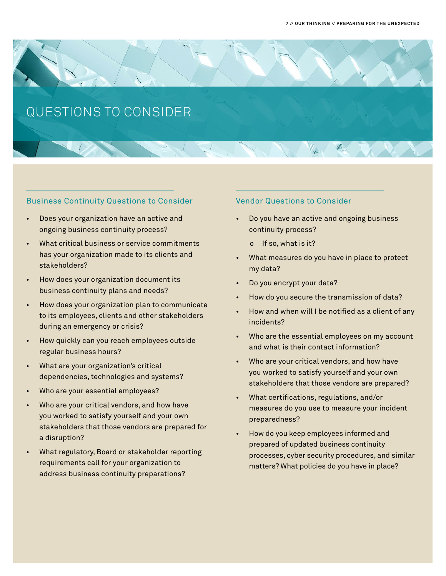

# Business Continuity Questions to Consider

- Does your organization have an active and ongoing business continuity process?
- What critical business or service commitments has your organization made to its clients and stakeholders?
- How does your organization document its business continuity plans and needs?
- How does your organization plan to communicate to its employees, clients and other stakeholders during an emergency or crisis?
- How quickly can you reach employees outside regular business hours?
- What are your organization's critical dependencies, technologies and systems?
- Who are your essential employees?
- Who are your critical vendors, and how have you worked to satisfy yourself and your own stakeholders that those vendors are prepared for a disruption?
- What regulatory, Board or stakeholder reporting requirements call for your organization to address business continuity preparations?

# Vendor Questions to Consider

- Do you have an active and ongoing business continuity process?
	- o If so, what is it?
- What measures do you have in place to protect my data?
- Do you encrypt your data?
- How do you secure the transmission of data?
- How and when will I be notified as a client of any incidents?
- Who are the essential employees on my account and what is their contact information?
- Who are your critical vendors, and how have you worked to satisfy yourself and your own stakeholders that those vendors are prepared?
- What certifications, regulations, and/or measures do you use to measure your incident preparedness?
- How do you keep employees informed and prepared of updated business continuity processes, cyber security procedures, and similar matters? What policies do you have in place?